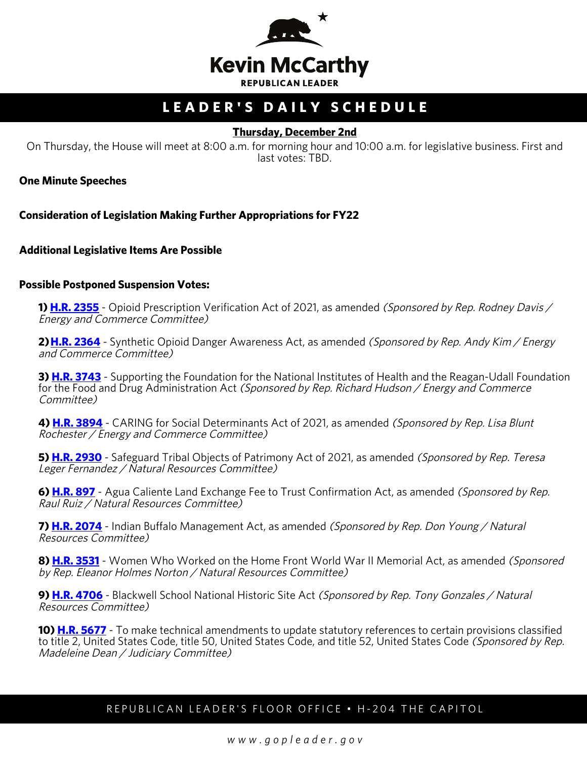

# **LEADER'S DAILY SCHEDULE**

# **Thursday, December 2nd**

On Thursday, the House will meet at 8:00 a.m. for morning hour and 10:00 a.m. for legislative business. First and last votes: TBD.

**One Minute Speeches**

**Consideration of Legislation Making Further Appropriations for FY22**

#### **Additional Legislative Items Are Possible**

#### **Possible Postponed Suspension Votes:**

**1) [H.R. 2355](http://docs.house.gov/billsthisweek/20211129/BILLS-117hr2355-SUS.pdf)** - Opioid Prescription Verification Act of 2021, as amended *(Sponsored by Rep. Rodney Davis /* Energy and Commerce Committee)

2) **[H.R. 2364](http://docs.house.gov/billsthisweek/20211129/BILLS-117hr2364-SUSv1.pdf)** - Synthetic Opioid Danger Awareness Act, as amended (Sponsored by Rep. Andy Kim / Energy and Commerce Committee)

**3) [H.R. 3743](http://docs.house.gov/billsthisweek/20211129/BILLS-117hr3743-SUS.pdf)** - Supporting the Foundation for the National Institutes of Health and the Reagan-Udall Foundation for the Food and Drug Administration Act (Sponsored by Rep. Richard Hudson / Energy and Commerce Committee)

**4) [H.R. 3894](http://docs.house.gov/billsthisweek/20211129/BILLS-117hr3894-SUS.pdf)** - CARING for Social Determinants Act of 2021, as amended (Sponsored by Rep. Lisa Blunt Rochester / Energy and Commerce Committee)

**5) [H.R. 2930](http://docs.house.gov/billsthisweek/20211129/BILLS-117hr2930-SUS.pdf)** - Safeguard Tribal Objects of Patrimony Act of 2021, as amended (Sponsored by Rep. Teresa Leger Fernandez / Natural Resources Committee)

**6) [H.R. 897](http://docs.house.gov/billsthisweek/20211129/BILLS-117hr897-SUS.pdf)** - Agua Caliente Land Exchange Fee to Trust Confirmation Act, as amended *(Sponsored by Rep.* Raul Ruiz / Natural Resources Committee)

**7) [H.R. 2074](http://docs.house.gov/billsthisweek/20211129/BILLS-117hr2074-SUS.pdf)** - Indian Buffalo Management Act, as amended (Sponsored by Rep. Don Young / Natural Resources Committee)

**8) [H.R. 3531](http://docs.house.gov/billsthisweek/20211129/BILLS-117hr3531-SUS.pdf)** - Women Who Worked on the Home Front World War II Memorial Act, as amended (Sponsored by Rep. Eleanor Holmes Norton / Natural Resources Committee)

**9) [H.R. 4706](http://docs.house.gov/billsthisweek/20211129/BILLS-117hr4706-SUS.pdf)** - Blackwell School National Historic Site Act (Sponsored by Rep. Tony Gonzales / Natural Resources Committee)

**10) <b>[H.R. 5677](http://docs.house.gov/billsthisweek/20211129/BILLS-117hr5677-SUS.pdf)** - To make technical amendments to update statutory references to certain provisions classified to title 2, United States Code, title 50, United States Code, and title 52, United States Code (Sponsored by Rep. Madeleine Dean / Judiciary Committee)

# REPUBLICAN LEADER'S FLOOR OFFICE • H-204 THE CAPITOL